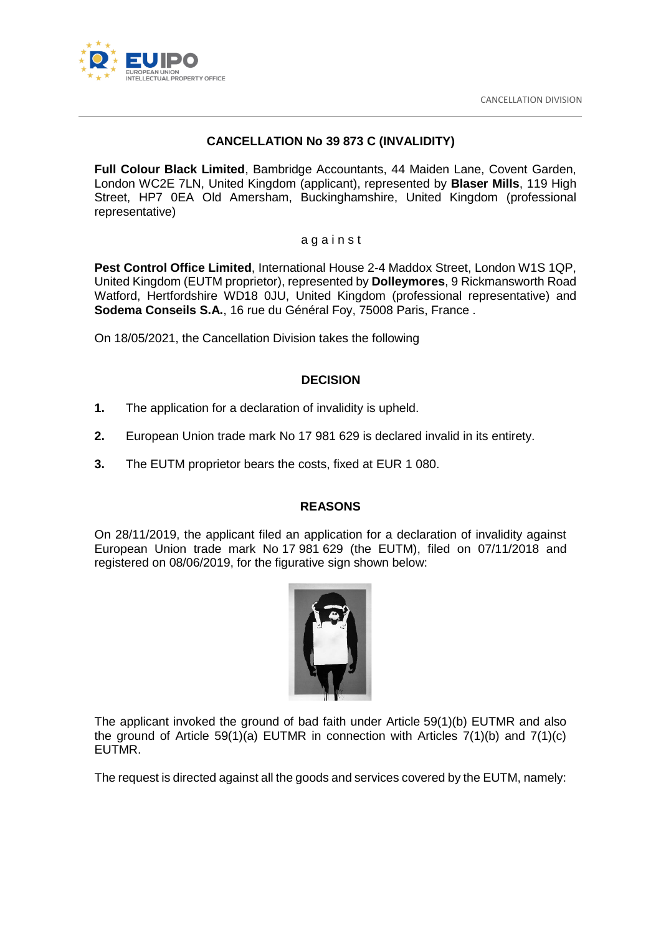

# **CANCELLATION No 39 873 C (INVALIDITY)**

**Full Colour Black Limited**, Bambridge Accountants, 44 Maiden Lane, Covent Garden, London WC2E 7LN, United Kingdom (applicant), represented by **Blaser Mills**, 119 High Street, HP7 0EA Old Amersham, Buckinghamshire, United Kingdom (professional representative)

#### a g a i n s t

**Pest Control Office Limited**, International House 2-4 Maddox Street, London W1S 1QP, United Kingdom (EUTM proprietor), represented by **Dolleymores**, 9 Rickmansworth Road Watford, Hertfordshire WD18 0JU, United Kingdom (professional representative) and **Sodema Conseils S.A.**, 16 rue du Général Foy, 75008 Paris, France .

On 18/05/2021, the Cancellation Division takes the following

## **DECISION**

- **1.** The application for a declaration of invalidity is upheld.
- **2.** European Union trade mark No 17 981 629 is declared invalid in its entirety.
- **3.** The EUTM proprietor bears the costs, fixed at EUR 1 080.

## **REASONS**

On 28/11/2019, the applicant filed an application for a declaration of invalidity against European Union trade mark No 17 981 629 (the EUTM), filed on 07/11/2018 and registered on 08/06/2019, for the figurative sign shown below:



The applicant invoked the ground of bad faith under Article 59(1)(b) EUTMR and also the ground of Article 59(1)(a) EUTMR in connection with Articles  $7(1)(b)$  and  $7(1)(c)$ EUTMR.

The request is directed against all the goods and services covered by the EUTM, namely: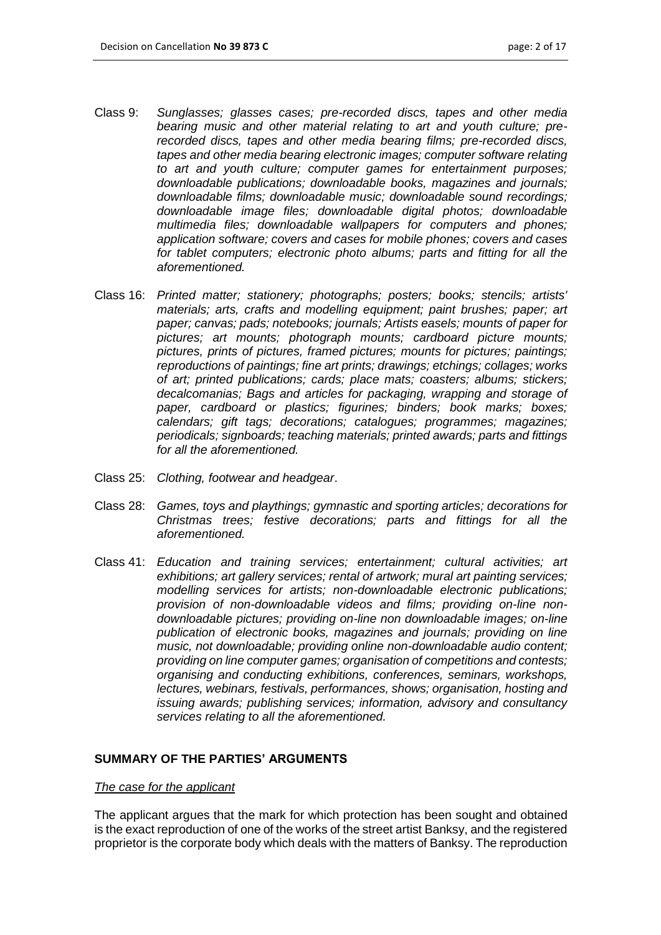- Class 9: *Sunglasses; glasses cases; pre-recorded discs, tapes and other media bearing music and other material relating to art and youth culture; prerecorded discs, tapes and other media bearing films; pre-recorded discs, tapes and other media bearing electronic images; computer software relating to art and youth culture; computer games for entertainment purposes; downloadable publications; downloadable books, magazines and journals; downloadable films; downloadable music; downloadable sound recordings; downloadable image files; downloadable digital photos; downloadable multimedia files; downloadable wallpapers for computers and phones; application software; covers and cases for mobile phones; covers and cases for tablet computers; electronic photo albums; parts and fitting for all the aforementioned.*
- Class 16: *Printed matter; stationery; photographs; posters; books; stencils; artists' materials; arts, crafts and modelling equipment; paint brushes; paper; art paper; canvas; pads; notebooks; journals; Artists easels; mounts of paper for pictures; art mounts; photograph mounts; cardboard picture mounts; pictures, prints of pictures, framed pictures; mounts for pictures; paintings; reproductions of paintings; fine art prints; drawings; etchings; collages; works of art; printed publications; cards; place mats; coasters; albums; stickers; decalcomanias; Bags and articles for packaging, wrapping and storage of paper, cardboard or plastics; figurines; binders; book marks; boxes; calendars; gift tags; decorations; catalogues; programmes; magazines; periodicals; signboards; teaching materials; printed awards; parts and fittings for all the aforementioned.*
- Class 25: *Clothing, footwear and headgear*.
- Class 28: *Games, toys and playthings; gymnastic and sporting articles; decorations for Christmas trees; festive decorations; parts and fittings for all the aforementioned.*
- Class 41: *Education and training services; entertainment; cultural activities; art exhibitions; art gallery services; rental of artwork; mural art painting services; modelling services for artists; non-downloadable electronic publications; provision of non-downloadable videos and films; providing on-line nondownloadable pictures; providing on-line non downloadable images; on-line publication of electronic books, magazines and journals; providing on line music, not downloadable; providing online non-downloadable audio content; providing on line computer games; organisation of competitions and contests; organising and conducting exhibitions, conferences, seminars, workshops, lectures, webinars, festivals, performances, shows; organisation, hosting and issuing awards; publishing services; information, advisory and consultancy services relating to all the aforementioned.*

## **SUMMARY OF THE PARTIES' ARGUMENTS**

#### *The case for the applicant*

The applicant argues that the mark for which protection has been sought and obtained is the exact reproduction of one of the works of the street artist Banksy, and the registered proprietor is the corporate body which deals with the matters of Banksy. The reproduction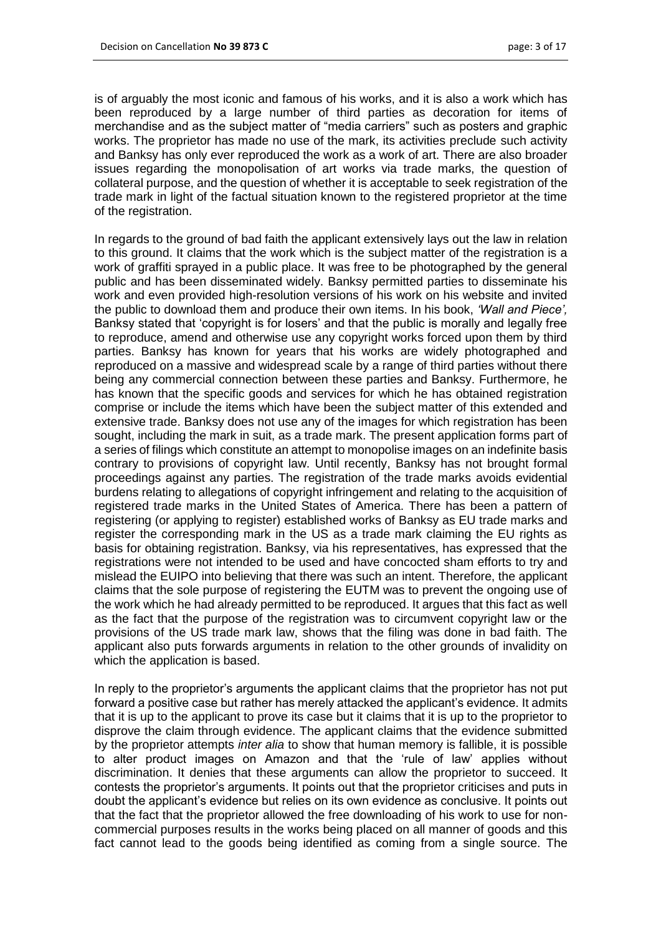is of arguably the most iconic and famous of his works, and it is also a work which has been reproduced by a large number of third parties as decoration for items of merchandise and as the subject matter of "media carriers" such as posters and graphic works. The proprietor has made no use of the mark, its activities preclude such activity and Banksy has only ever reproduced the work as a work of art. There are also broader issues regarding the monopolisation of art works via trade marks, the question of collateral purpose, and the question of whether it is acceptable to seek registration of the trade mark in light of the factual situation known to the registered proprietor at the time of the registration.

In regards to the ground of bad faith the applicant extensively lays out the law in relation to this ground. It claims that the work which is the subject matter of the registration is a work of graffiti sprayed in a public place. It was free to be photographed by the general public and has been disseminated widely. Banksy permitted parties to disseminate his work and even provided high-resolution versions of his work on his website and invited the public to download them and produce their own items. In his book, *'Wall and Piece',* Banksy stated that 'copyright is for losers' and that the public is morally and legally free to reproduce, amend and otherwise use any copyright works forced upon them by third parties. Banksy has known for years that his works are widely photographed and reproduced on a massive and widespread scale by a range of third parties without there being any commercial connection between these parties and Banksy. Furthermore, he has known that the specific goods and services for which he has obtained registration comprise or include the items which have been the subject matter of this extended and extensive trade. Banksy does not use any of the images for which registration has been sought, including the mark in suit, as a trade mark. The present application forms part of a series of filings which constitute an attempt to monopolise images on an indefinite basis contrary to provisions of copyright law. Until recently, Banksy has not brought formal proceedings against any parties. The registration of the trade marks avoids evidential burdens relating to allegations of copyright infringement and relating to the acquisition of registered trade marks in the United States of America. There has been a pattern of registering (or applying to register) established works of Banksy as EU trade marks and register the corresponding mark in the US as a trade mark claiming the EU rights as basis for obtaining registration. Banksy, via his representatives, has expressed that the registrations were not intended to be used and have concocted sham efforts to try and mislead the EUIPO into believing that there was such an intent. Therefore, the applicant claims that the sole purpose of registering the EUTM was to prevent the ongoing use of the work which he had already permitted to be reproduced. It argues that this fact as well as the fact that the purpose of the registration was to circumvent copyright law or the provisions of the US trade mark law, shows that the filing was done in bad faith. The applicant also puts forwards arguments in relation to the other grounds of invalidity on which the application is based.

In reply to the proprietor's arguments the applicant claims that the proprietor has not put forward a positive case but rather has merely attacked the applicant's evidence. It admits that it is up to the applicant to prove its case but it claims that it is up to the proprietor to disprove the claim through evidence. The applicant claims that the evidence submitted by the proprietor attempts *inter alia* to show that human memory is fallible, it is possible to alter product images on Amazon and that the 'rule of law' applies without discrimination. It denies that these arguments can allow the proprietor to succeed. It contests the proprietor's arguments. It points out that the proprietor criticises and puts in doubt the applicant's evidence but relies on its own evidence as conclusive. It points out that the fact that the proprietor allowed the free downloading of his work to use for noncommercial purposes results in the works being placed on all manner of goods and this fact cannot lead to the goods being identified as coming from a single source. The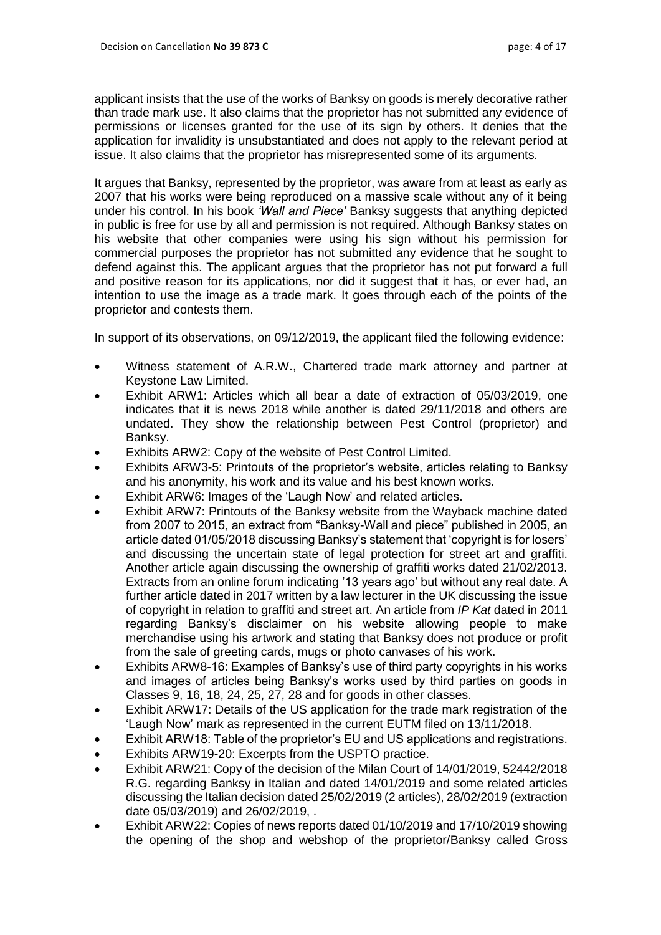applicant insists that the use of the works of Banksy on goods is merely decorative rather than trade mark use. It also claims that the proprietor has not submitted any evidence of permissions or licenses granted for the use of its sign by others. It denies that the application for invalidity is unsubstantiated and does not apply to the relevant period at issue. It also claims that the proprietor has misrepresented some of its arguments.

It argues that Banksy, represented by the proprietor, was aware from at least as early as 2007 that his works were being reproduced on a massive scale without any of it being under his control. In his book *'Wall and Piece'* Banksy suggests that anything depicted in public is free for use by all and permission is not required. Although Banksy states on his website that other companies were using his sign without his permission for commercial purposes the proprietor has not submitted any evidence that he sought to defend against this. The applicant argues that the proprietor has not put forward a full and positive reason for its applications, nor did it suggest that it has, or ever had, an intention to use the image as a trade mark. It goes through each of the points of the proprietor and contests them.

In support of its observations, on 09/12/2019, the applicant filed the following evidence:

- Witness statement of A.R.W., Chartered trade mark attorney and partner at Keystone Law Limited.
- Exhibit ARW1: Articles which all bear a date of extraction of 05/03/2019, one indicates that it is news 2018 while another is dated 29/11/2018 and others are undated. They show the relationship between Pest Control (proprietor) and Banksy.
- Exhibits ARW2: Copy of the website of Pest Control Limited.
- Exhibits ARW3-5: Printouts of the proprietor's website, articles relating to Banksy and his anonymity, his work and its value and his best known works.
- Exhibit ARW6: Images of the 'Laugh Now' and related articles.
- Exhibit ARW7: Printouts of the Banksy website from the Wayback machine dated from 2007 to 2015, an extract from "Banksy-Wall and piece" published in 2005, an article dated 01/05/2018 discussing Banksy's statement that 'copyright is for losers' and discussing the uncertain state of legal protection for street art and graffiti. Another article again discussing the ownership of graffiti works dated 21/02/2013. Extracts from an online forum indicating '13 years ago' but without any real date. A further article dated in 2017 written by a law lecturer in the UK discussing the issue of copyright in relation to graffiti and street art. An article from *IP Kat* dated in 2011 regarding Banksy's disclaimer on his website allowing people to make merchandise using his artwork and stating that Banksy does not produce or profit from the sale of greeting cards, mugs or photo canvases of his work.
- Exhibits ARW8-16: Examples of Banksy's use of third party copyrights in his works and images of articles being Banksy's works used by third parties on goods in Classes 9, 16, 18, 24, 25, 27, 28 and for goods in other classes.
- Exhibit ARW17: Details of the US application for the trade mark registration of the 'Laugh Now' mark as represented in the current EUTM filed on 13/11/2018.
- Exhibit ARW18: Table of the proprietor's EU and US applications and registrations.
- Exhibits ARW19-20: Excerpts from the USPTO practice.
- Exhibit ARW21: Copy of the decision of the Milan Court of 14/01/2019, 52442/2018 R.G. regarding Banksy in Italian and dated 14/01/2019 and some related articles discussing the Italian decision dated 25/02/2019 (2 articles), 28/02/2019 (extraction date 05/03/2019) and 26/02/2019, .
- Exhibit ARW22: Copies of news reports dated 01/10/2019 and 17/10/2019 showing the opening of the shop and webshop of the proprietor/Banksy called Gross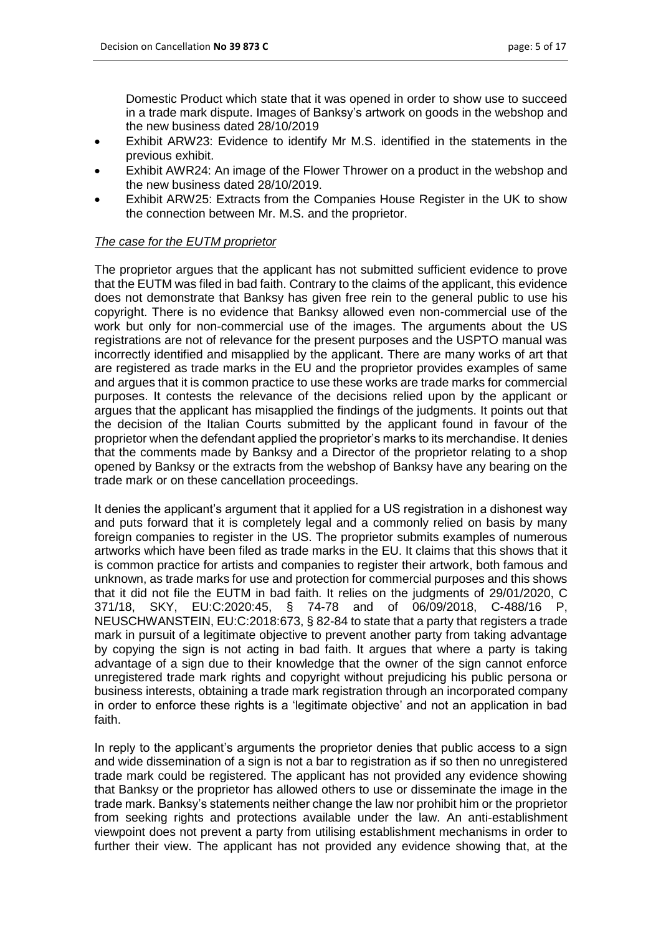Domestic Product which state that it was opened in order to show use to succeed in a trade mark dispute. Images of Banksy's artwork on goods in the webshop and the new business dated 28/10/2019

- Exhibit ARW23: Evidence to identify Mr M.S. identified in the statements in the previous exhibit.
- Exhibit AWR24: An image of the Flower Thrower on a product in the webshop and the new business dated 28/10/2019.
- Exhibit ARW25: Extracts from the Companies House Register in the UK to show the connection between Mr. M.S. and the proprietor.

## *The case for the EUTM proprietor*

The proprietor argues that the applicant has not submitted sufficient evidence to prove that the EUTM was filed in bad faith. Contrary to the claims of the applicant, this evidence does not demonstrate that Banksy has given free rein to the general public to use his copyright. There is no evidence that Banksy allowed even non-commercial use of the work but only for non-commercial use of the images. The arguments about the US registrations are not of relevance for the present purposes and the USPTO manual was incorrectly identified and misapplied by the applicant. There are many works of art that are registered as trade marks in the EU and the proprietor provides examples of same and argues that it is common practice to use these works are trade marks for commercial purposes. It contests the relevance of the decisions relied upon by the applicant or argues that the applicant has misapplied the findings of the judgments. It points out that the decision of the Italian Courts submitted by the applicant found in favour of the proprietor when the defendant applied the proprietor's marks to its merchandise. It denies that the comments made by Banksy and a Director of the proprietor relating to a shop opened by Banksy or the extracts from the webshop of Banksy have any bearing on the trade mark or on these cancellation proceedings.

It denies the applicant's argument that it applied for a US registration in a dishonest way and puts forward that it is completely legal and a commonly relied on basis by many foreign companies to register in the US. The proprietor submits examples of numerous artworks which have been filed as trade marks in the EU. It claims that this shows that it is common practice for artists and companies to register their artwork, both famous and unknown, as trade marks for use and protection for commercial purposes and this shows that it did not file the EUTM in bad faith. It relies on the judgments of 29/01/2020, C 371/18, SKY, EU:C:2020:45, § 74-78 and of 06/09/2018, C-488/16 P, NEUSCHWANSTEIN, EU:C:2018:673, § 82-84 to state that a party that registers a trade mark in pursuit of a legitimate objective to prevent another party from taking advantage by copying the sign is not acting in bad faith. It argues that where a party is taking advantage of a sign due to their knowledge that the owner of the sign cannot enforce unregistered trade mark rights and copyright without prejudicing his public persona or business interests, obtaining a trade mark registration through an incorporated company in order to enforce these rights is a 'legitimate objective' and not an application in bad faith.

In reply to the applicant's arguments the proprietor denies that public access to a sign and wide dissemination of a sign is not a bar to registration as if so then no unregistered trade mark could be registered. The applicant has not provided any evidence showing that Banksy or the proprietor has allowed others to use or disseminate the image in the trade mark. Banksy's statements neither change the law nor prohibit him or the proprietor from seeking rights and protections available under the law. An anti-establishment viewpoint does not prevent a party from utilising establishment mechanisms in order to further their view. The applicant has not provided any evidence showing that, at the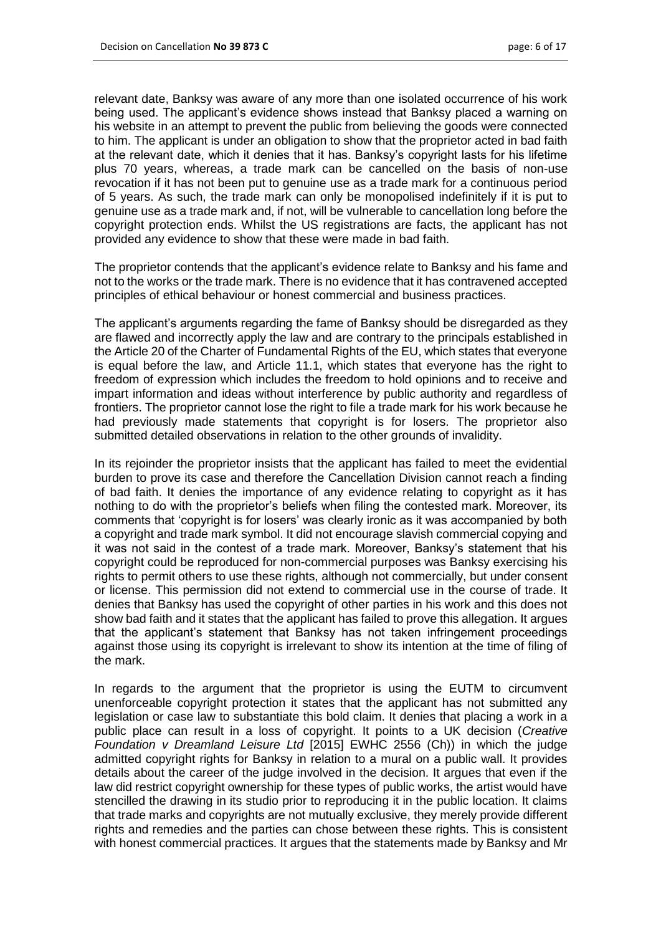relevant date, Banksy was aware of any more than one isolated occurrence of his work being used. The applicant's evidence shows instead that Banksy placed a warning on his website in an attempt to prevent the public from believing the goods were connected to him. The applicant is under an obligation to show that the proprietor acted in bad faith at the relevant date, which it denies that it has. Banksy's copyright lasts for his lifetime plus 70 years, whereas, a trade mark can be cancelled on the basis of non-use revocation if it has not been put to genuine use as a trade mark for a continuous period of 5 years. As such, the trade mark can only be monopolised indefinitely if it is put to genuine use as a trade mark and, if not, will be vulnerable to cancellation long before the copyright protection ends. Whilst the US registrations are facts, the applicant has not provided any evidence to show that these were made in bad faith.

The proprietor contends that the applicant's evidence relate to Banksy and his fame and not to the works or the trade mark. There is no evidence that it has contravened accepted principles of ethical behaviour or honest commercial and business practices.

The applicant's arguments regarding the fame of Banksy should be disregarded as they are flawed and incorrectly apply the law and are contrary to the principals established in the Article 20 of the Charter of Fundamental Rights of the EU, which states that everyone is equal before the law, and Article 11.1, which states that everyone has the right to freedom of expression which includes the freedom to hold opinions and to receive and impart information and ideas without interference by public authority and regardless of frontiers. The proprietor cannot lose the right to file a trade mark for his work because he had previously made statements that copyright is for losers. The proprietor also submitted detailed observations in relation to the other grounds of invalidity.

In its rejoinder the proprietor insists that the applicant has failed to meet the evidential burden to prove its case and therefore the Cancellation Division cannot reach a finding of bad faith. It denies the importance of any evidence relating to copyright as it has nothing to do with the proprietor's beliefs when filing the contested mark. Moreover, its comments that 'copyright is for losers' was clearly ironic as it was accompanied by both a copyright and trade mark symbol. It did not encourage slavish commercial copying and it was not said in the contest of a trade mark. Moreover, Banksy's statement that his copyright could be reproduced for non-commercial purposes was Banksy exercising his rights to permit others to use these rights, although not commercially, but under consent or license. This permission did not extend to commercial use in the course of trade. It denies that Banksy has used the copyright of other parties in his work and this does not show bad faith and it states that the applicant has failed to prove this allegation. It argues that the applicant's statement that Banksy has not taken infringement proceedings against those using its copyright is irrelevant to show its intention at the time of filing of the mark.

In regards to the argument that the proprietor is using the EUTM to circumvent unenforceable copyright protection it states that the applicant has not submitted any legislation or case law to substantiate this bold claim. It denies that placing a work in a public place can result in a loss of copyright. It points to a UK decision (*Creative Foundation v Dreamland Leisure Ltd* [2015] EWHC 2556 (Ch)) in which the judge admitted copyright rights for Banksy in relation to a mural on a public wall. It provides details about the career of the judge involved in the decision. It argues that even if the law did restrict copyright ownership for these types of public works, the artist would have stencilled the drawing in its studio prior to reproducing it in the public location. It claims that trade marks and copyrights are not mutually exclusive, they merely provide different rights and remedies and the parties can chose between these rights. This is consistent with honest commercial practices. It argues that the statements made by Banksy and Mr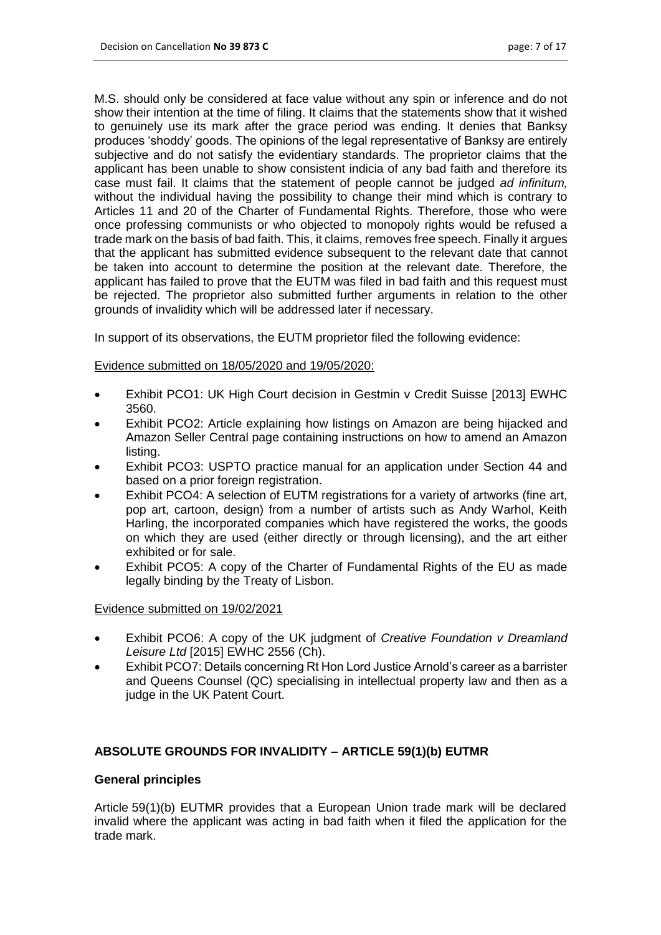M.S. should only be considered at face value without any spin or inference and do not show their intention at the time of filing. It claims that the statements show that it wished to genuinely use its mark after the grace period was ending. It denies that Banksy produces 'shoddy' goods. The opinions of the legal representative of Banksy are entirely subjective and do not satisfy the evidentiary standards. The proprietor claims that the applicant has been unable to show consistent indicia of any bad faith and therefore its case must fail. It claims that the statement of people cannot be judged *ad infinitum,*  without the individual having the possibility to change their mind which is contrary to Articles 11 and 20 of the Charter of Fundamental Rights. Therefore, those who were once professing communists or who objected to monopoly rights would be refused a trade mark on the basis of bad faith. This, it claims, removes free speech. Finally it argues that the applicant has submitted evidence subsequent to the relevant date that cannot be taken into account to determine the position at the relevant date. Therefore, the applicant has failed to prove that the EUTM was filed in bad faith and this request must be rejected. The proprietor also submitted further arguments in relation to the other grounds of invalidity which will be addressed later if necessary.

In support of its observations, the EUTM proprietor filed the following evidence:

## Evidence submitted on 18/05/2020 and 19/05/2020:

- Exhibit PCO1: UK High Court decision in Gestmin v Credit Suisse [2013] EWHC 3560.
- Exhibit PCO2: Article explaining how listings on Amazon are being hijacked and Amazon Seller Central page containing instructions on how to amend an Amazon listing.
- Exhibit PCO3: USPTO practice manual for an application under Section 44 and based on a prior foreign registration.
- Exhibit PCO4: A selection of EUTM registrations for a variety of artworks (fine art, pop art, cartoon, design) from a number of artists such as Andy Warhol, Keith Harling, the incorporated companies which have registered the works, the goods on which they are used (either directly or through licensing), and the art either exhibited or for sale.
- Exhibit PCO5: A copy of the Charter of Fundamental Rights of the EU as made legally binding by the Treaty of Lisbon.

#### Evidence submitted on 19/02/2021

- Exhibit PCO6: A copy of the UK judgment of *Creative Foundation v Dreamland Leisure Ltd* [2015] EWHC 2556 (Ch).
- Exhibit PCO7: Details concerning Rt Hon Lord Justice Arnold's career as a barrister and Queens Counsel (QC) specialising in intellectual property law and then as a judge in the UK Patent Court.

## **ABSOLUTE GROUNDS FOR INVALIDITY – ARTICLE 59(1)(b) EUTMR**

#### **General principles**

Article 59(1)(b) EUTMR provides that a European Union trade mark will be declared invalid where the applicant was acting in bad faith when it filed the application for the trade mark.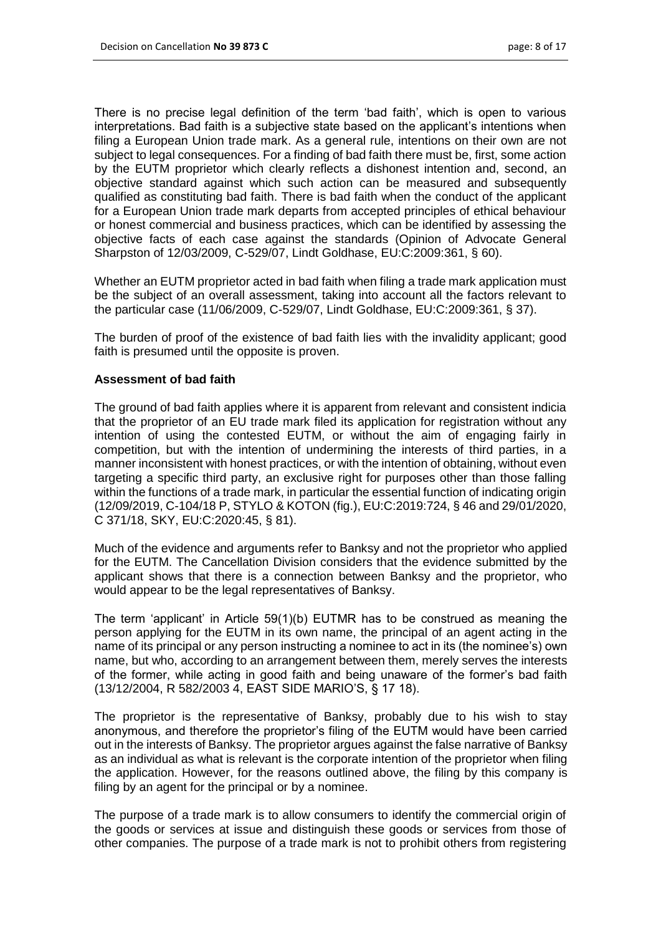There is no precise legal definition of the term 'bad faith', which is open to various interpretations. Bad faith is a subjective state based on the applicant's intentions when filing a European Union trade mark. As a general rule, intentions on their own are not subject to legal consequences. For a finding of bad faith there must be, first, some action by the EUTM proprietor which clearly reflects a dishonest intention and, second, an objective standard against which such action can be measured and subsequently qualified as constituting bad faith. There is bad faith when the conduct of the applicant for a European Union trade mark departs from accepted principles of ethical behaviour or honest commercial and business practices, which can be identified by assessing the objective facts of each case against the standards (Opinion of Advocate General Sharpston of 12/03/2009, C-529/07, Lindt Goldhase, EU:C:2009:361, § 60).

Whether an EUTM proprietor acted in bad faith when filing a trade mark application must be the subject of an overall assessment, taking into account all the factors relevant to the particular case (11/06/2009, C-529/07, Lindt Goldhase, EU:C:2009:361, § 37).

The burden of proof of the existence of bad faith lies with the invalidity applicant; good faith is presumed until the opposite is proven.

## **Assessment of bad faith**

The ground of bad faith applies where it is apparent from relevant and consistent indicia that the proprietor of an EU trade mark filed its application for registration without any intention of using the contested EUTM, or without the aim of engaging fairly in competition, but with the intention of undermining the interests of third parties, in a manner inconsistent with honest practices, or with the intention of obtaining, without even targeting a specific third party, an exclusive right for purposes other than those falling within the functions of a trade mark, in particular the essential function of indicating origin (12/09/2019, C-104/18 P, STYLO & KOTON (fig.), EU:C:2019:724, § 46 and 29/01/2020, C 371/18, SKY, EU:C:2020:45, § 81).

Much of the evidence and arguments refer to Banksy and not the proprietor who applied for the EUTM. The Cancellation Division considers that the evidence submitted by the applicant shows that there is a connection between Banksy and the proprietor, who would appear to be the legal representatives of Banksy.

The term 'applicant' in Article 59(1)(b) EUTMR has to be construed as meaning the person applying for the EUTM in its own name, the principal of an agent acting in the name of its principal or any person instructing a nominee to act in its (the nominee's) own name, but who, according to an arrangement between them, merely serves the interests of the former, while acting in good faith and being unaware of the former's bad faith (13/12/2004, R 582/2003 4, EAST SIDE MARIO'S, § 17 18).

The proprietor is the representative of Banksy, probably due to his wish to stay anonymous, and therefore the proprietor's filing of the EUTM would have been carried out in the interests of Banksy. The proprietor argues against the false narrative of Banksy as an individual as what is relevant is the corporate intention of the proprietor when filing the application. However, for the reasons outlined above, the filing by this company is filing by an agent for the principal or by a nominee.

The purpose of a trade mark is to allow consumers to identify the commercial origin of the goods or services at issue and distinguish these goods or services from those of other companies. The purpose of a trade mark is not to prohibit others from registering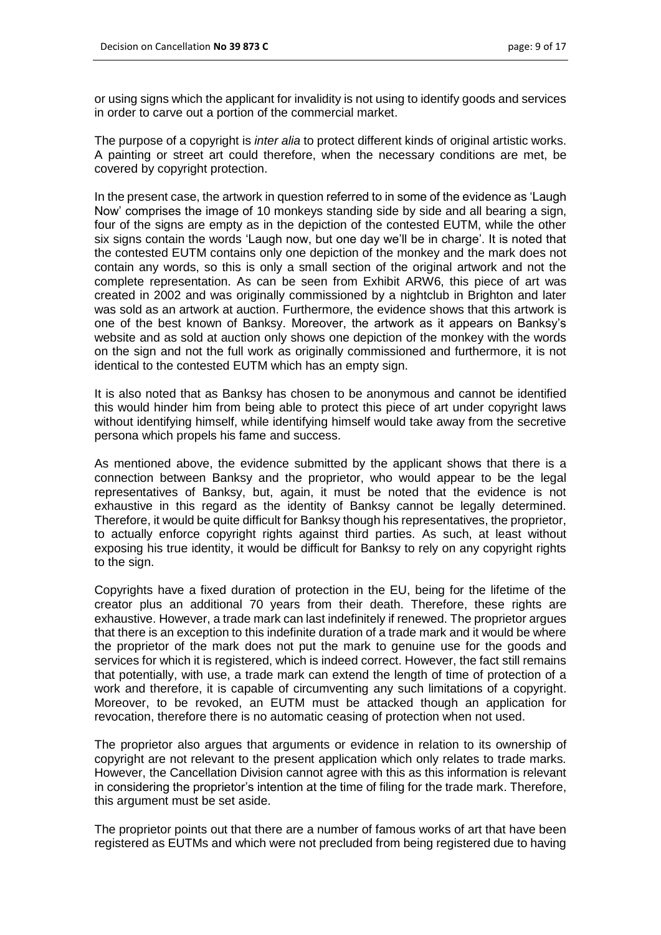or using signs which the applicant for invalidity is not using to identify goods and services in order to carve out a portion of the commercial market.

The purpose of a copyright is *inter alia* to protect different kinds of original artistic works. A painting or street art could therefore, when the necessary conditions are met, be covered by copyright protection.

In the present case, the artwork in question referred to in some of the evidence as 'Laugh Now' comprises the image of 10 monkeys standing side by side and all bearing a sign, four of the signs are empty as in the depiction of the contested EUTM, while the other six signs contain the words 'Laugh now, but one day we'll be in charge'. It is noted that the contested EUTM contains only one depiction of the monkey and the mark does not contain any words, so this is only a small section of the original artwork and not the complete representation. As can be seen from Exhibit ARW6, this piece of art was created in 2002 and was originally commissioned by a nightclub in Brighton and later was sold as an artwork at auction. Furthermore, the evidence shows that this artwork is one of the best known of Banksy. Moreover, the artwork as it appears on Banksy's website and as sold at auction only shows one depiction of the monkey with the words on the sign and not the full work as originally commissioned and furthermore, it is not identical to the contested EUTM which has an empty sign.

It is also noted that as Banksy has chosen to be anonymous and cannot be identified this would hinder him from being able to protect this piece of art under copyright laws without identifying himself, while identifying himself would take away from the secretive persona which propels his fame and success.

As mentioned above, the evidence submitted by the applicant shows that there is a connection between Banksy and the proprietor, who would appear to be the legal representatives of Banksy, but, again, it must be noted that the evidence is not exhaustive in this regard as the identity of Banksy cannot be legally determined. Therefore, it would be quite difficult for Banksy though his representatives, the proprietor, to actually enforce copyright rights against third parties. As such, at least without exposing his true identity, it would be difficult for Banksy to rely on any copyright rights to the sign.

Copyrights have a fixed duration of protection in the EU, being for the lifetime of the creator plus an additional 70 years from their death. Therefore, these rights are exhaustive. However, a trade mark can last indefinitely if renewed. The proprietor argues that there is an exception to this indefinite duration of a trade mark and it would be where the proprietor of the mark does not put the mark to genuine use for the goods and services for which it is registered, which is indeed correct. However, the fact still remains that potentially, with use, a trade mark can extend the length of time of protection of a work and therefore, it is capable of circumventing any such limitations of a copyright. Moreover, to be revoked, an EUTM must be attacked though an application for revocation, therefore there is no automatic ceasing of protection when not used.

The proprietor also argues that arguments or evidence in relation to its ownership of copyright are not relevant to the present application which only relates to trade marks. However, the Cancellation Division cannot agree with this as this information is relevant in considering the proprietor's intention at the time of filing for the trade mark. Therefore, this argument must be set aside.

The proprietor points out that there are a number of famous works of art that have been registered as EUTMs and which were not precluded from being registered due to having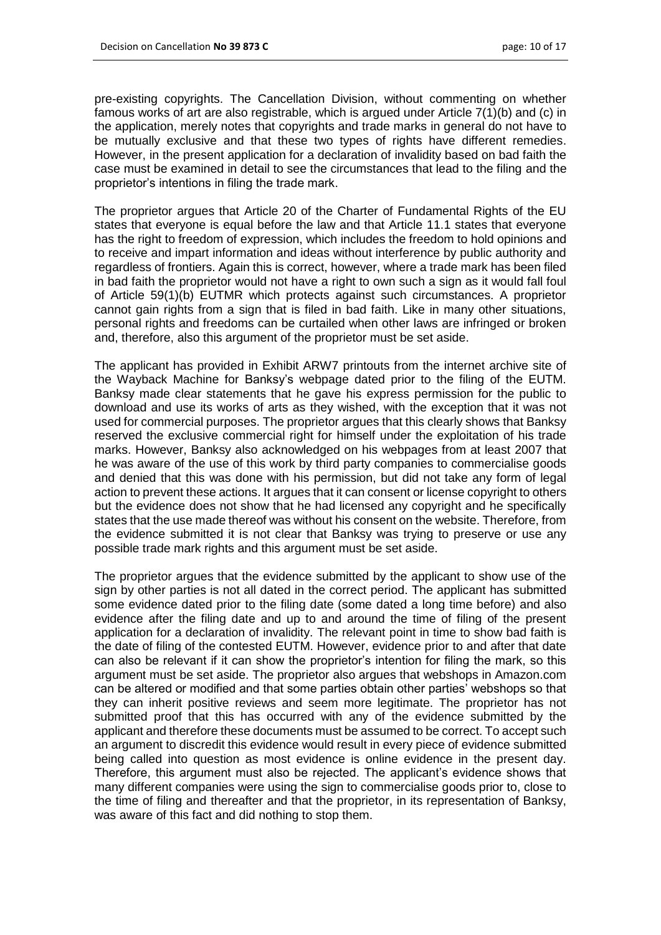pre-existing copyrights. The Cancellation Division, without commenting on whether famous works of art are also registrable, which is argued under Article 7(1)(b) and (c) in the application, merely notes that copyrights and trade marks in general do not have to be mutually exclusive and that these two types of rights have different remedies. However, in the present application for a declaration of invalidity based on bad faith the case must be examined in detail to see the circumstances that lead to the filing and the proprietor's intentions in filing the trade mark.

The proprietor argues that Article 20 of the Charter of Fundamental Rights of the EU states that everyone is equal before the law and that Article 11.1 states that everyone has the right to freedom of expression, which includes the freedom to hold opinions and to receive and impart information and ideas without interference by public authority and regardless of frontiers. Again this is correct, however, where a trade mark has been filed in bad faith the proprietor would not have a right to own such a sign as it would fall foul of Article 59(1)(b) EUTMR which protects against such circumstances. A proprietor cannot gain rights from a sign that is filed in bad faith. Like in many other situations, personal rights and freedoms can be curtailed when other laws are infringed or broken and, therefore, also this argument of the proprietor must be set aside.

The applicant has provided in Exhibit ARW7 printouts from the internet archive site of the Wayback Machine for Banksy's webpage dated prior to the filing of the EUTM. Banksy made clear statements that he gave his express permission for the public to download and use its works of arts as they wished, with the exception that it was not used for commercial purposes. The proprietor argues that this clearly shows that Banksy reserved the exclusive commercial right for himself under the exploitation of his trade marks. However, Banksy also acknowledged on his webpages from at least 2007 that he was aware of the use of this work by third party companies to commercialise goods and denied that this was done with his permission, but did not take any form of legal action to prevent these actions. It argues that it can consent or license copyright to others but the evidence does not show that he had licensed any copyright and he specifically states that the use made thereof was without his consent on the website. Therefore, from the evidence submitted it is not clear that Banksy was trying to preserve or use any possible trade mark rights and this argument must be set aside.

The proprietor argues that the evidence submitted by the applicant to show use of the sign by other parties is not all dated in the correct period. The applicant has submitted some evidence dated prior to the filing date (some dated a long time before) and also evidence after the filing date and up to and around the time of filing of the present application for a declaration of invalidity. The relevant point in time to show bad faith is the date of filing of the contested EUTM. However, evidence prior to and after that date can also be relevant if it can show the proprietor's intention for filing the mark, so this argument must be set aside. The proprietor also argues that webshops in Amazon.com can be altered or modified and that some parties obtain other parties' webshops so that they can inherit positive reviews and seem more legitimate. The proprietor has not submitted proof that this has occurred with any of the evidence submitted by the applicant and therefore these documents must be assumed to be correct. To accept such an argument to discredit this evidence would result in every piece of evidence submitted being called into question as most evidence is online evidence in the present day. Therefore, this argument must also be rejected. The applicant's evidence shows that many different companies were using the sign to commercialise goods prior to, close to the time of filing and thereafter and that the proprietor, in its representation of Banksy, was aware of this fact and did nothing to stop them.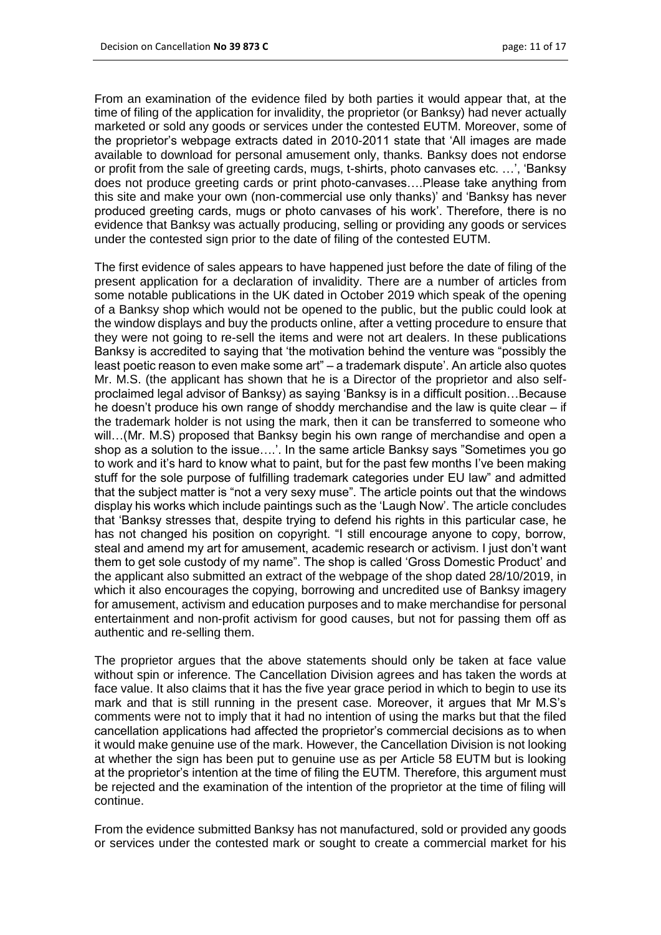From an examination of the evidence filed by both parties it would appear that, at the time of filing of the application for invalidity, the proprietor (or Banksy) had never actually marketed or sold any goods or services under the contested EUTM. Moreover, some of the proprietor's webpage extracts dated in 2010-2011 state that 'All images are made available to download for personal amusement only, thanks. Banksy does not endorse or profit from the sale of greeting cards, mugs, t-shirts, photo canvases etc. …', 'Banksy does not produce greeting cards or print photo-canvases….Please take anything from this site and make your own (non-commercial use only thanks)' and 'Banksy has never produced greeting cards, mugs or photo canvases of his work'. Therefore, there is no evidence that Banksy was actually producing, selling or providing any goods or services under the contested sign prior to the date of filing of the contested EUTM.

The first evidence of sales appears to have happened just before the date of filing of the present application for a declaration of invalidity. There are a number of articles from some notable publications in the UK dated in October 2019 which speak of the opening of a Banksy shop which would not be opened to the public, but the public could look at the window displays and buy the products online, after a vetting procedure to ensure that they were not going to re-sell the items and were not art dealers. In these publications Banksy is accredited to saying that 'the motivation behind the venture was "possibly the least poetic reason to even make some art" – a trademark dispute'. An article also quotes Mr. M.S. (the applicant has shown that he is a Director of the proprietor and also selfproclaimed legal advisor of Banksy) as saying 'Banksy is in a difficult position…Because he doesn't produce his own range of shoddy merchandise and the law is quite clear – if the trademark holder is not using the mark, then it can be transferred to someone who will…(Mr. M.S) proposed that Banksy begin his own range of merchandise and open a shop as a solution to the issue….'. In the same article Banksy says "Sometimes you go to work and it's hard to know what to paint, but for the past few months I've been making stuff for the sole purpose of fulfilling trademark categories under EU law" and admitted that the subject matter is "not a very sexy muse". The article points out that the windows display his works which include paintings such as the 'Laugh Now'. The article concludes that 'Banksy stresses that, despite trying to defend his rights in this particular case, he has not changed his position on copyright. "I still encourage anyone to copy, borrow, steal and amend my art for amusement, academic research or activism. I just don't want them to get sole custody of my name". The shop is called 'Gross Domestic Product' and the applicant also submitted an extract of the webpage of the shop dated 28/10/2019, in which it also encourages the copying, borrowing and uncredited use of Banksy imagery for amusement, activism and education purposes and to make merchandise for personal entertainment and non-profit activism for good causes, but not for passing them off as authentic and re-selling them.

The proprietor argues that the above statements should only be taken at face value without spin or inference. The Cancellation Division agrees and has taken the words at face value. It also claims that it has the five year grace period in which to begin to use its mark and that is still running in the present case. Moreover, it argues that Mr M.S's comments were not to imply that it had no intention of using the marks but that the filed cancellation applications had affected the proprietor's commercial decisions as to when it would make genuine use of the mark. However, the Cancellation Division is not looking at whether the sign has been put to genuine use as per Article 58 EUTM but is looking at the proprietor's intention at the time of filing the EUTM. Therefore, this argument must be rejected and the examination of the intention of the proprietor at the time of filing will continue.

From the evidence submitted Banksy has not manufactured, sold or provided any goods or services under the contested mark or sought to create a commercial market for his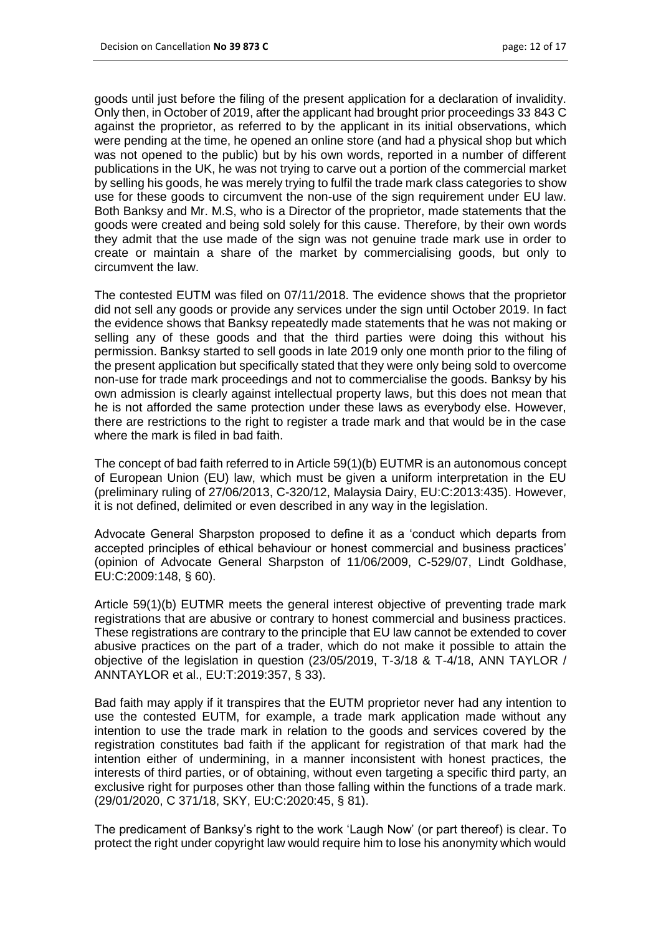goods until just before the filing of the present application for a declaration of invalidity. Only then, in October of 2019, after the applicant had brought prior proceedings 33 843 C against the proprietor, as referred to by the applicant in its initial observations, which were pending at the time, he opened an online store (and had a physical shop but which was not opened to the public) but by his own words, reported in a number of different publications in the UK, he was not trying to carve out a portion of the commercial market by selling his goods, he was merely trying to fulfil the trade mark class categories to show use for these goods to circumvent the non-use of the sign requirement under EU law. Both Banksy and Mr. M.S, who is a Director of the proprietor, made statements that the goods were created and being sold solely for this cause. Therefore, by their own words they admit that the use made of the sign was not genuine trade mark use in order to create or maintain a share of the market by commercialising goods, but only to circumvent the law.

The contested EUTM was filed on 07/11/2018. The evidence shows that the proprietor did not sell any goods or provide any services under the sign until October 2019. In fact the evidence shows that Banksy repeatedly made statements that he was not making or selling any of these goods and that the third parties were doing this without his permission. Banksy started to sell goods in late 2019 only one month prior to the filing of the present application but specifically stated that they were only being sold to overcome non-use for trade mark proceedings and not to commercialise the goods. Banksy by his own admission is clearly against intellectual property laws, but this does not mean that he is not afforded the same protection under these laws as everybody else. However, there are restrictions to the right to register a trade mark and that would be in the case where the mark is filed in bad faith.

The concept of bad faith referred to in Article 59(1)(b) EUTMR is an autonomous concept of European Union (EU) law, which must be given a uniform interpretation in the EU (preliminary ruling of 27/06/2013, C-320/12, Malaysia Dairy, EU:C:2013:435). However, it is not defined, delimited or even described in any way in the legislation.

Advocate General Sharpston proposed to define it as a 'conduct which departs from accepted principles of ethical behaviour or honest commercial and business practices' (opinion of Advocate General Sharpston of 11/06/2009, C-529/07, Lindt Goldhase, EU:C:2009:148, § 60).

Article 59(1)(b) EUTMR meets the general interest objective of preventing trade mark registrations that are abusive or contrary to honest commercial and business practices. These registrations are contrary to the principle that EU law cannot be extended to cover abusive practices on the part of a trader, which do not make it possible to attain the objective of the legislation in question (23/05/2019, T-3/18 & T-4/18, ANN TAYLOR / ANNTAYLOR et al., EU:T:2019:357, § 33).

Bad faith may apply if it transpires that the EUTM proprietor never had any intention to use the contested EUTM, for example, a trade mark application made without any intention to use the trade mark in relation to the goods and services covered by the registration constitutes bad faith if the applicant for registration of that mark had the intention either of undermining, in a manner inconsistent with honest practices, the interests of third parties, or of obtaining, without even targeting a specific third party, an exclusive right for purposes other than those falling within the functions of a trade mark. (29/01/2020, C 371/18, SKY, EU:C:2020:45, § 81).

The predicament of Banksy's right to the work 'Laugh Now' (or part thereof) is clear. To protect the right under copyright law would require him to lose his anonymity which would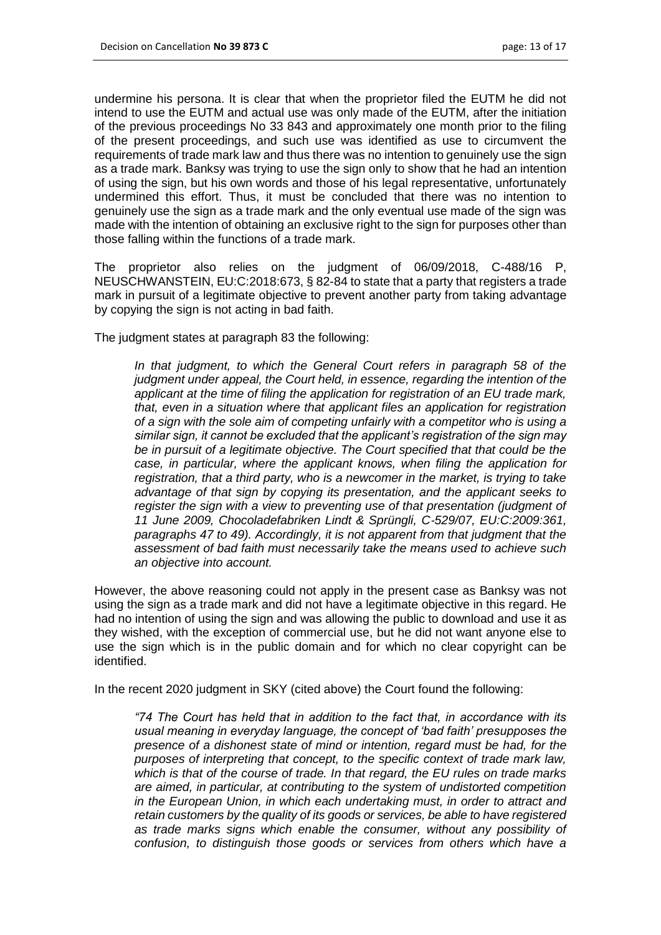undermine his persona. It is clear that when the proprietor filed the EUTM he did not intend to use the EUTM and actual use was only made of the EUTM, after the initiation of the previous proceedings No 33 843 and approximately one month prior to the filing of the present proceedings, and such use was identified as use to circumvent the requirements of trade mark law and thus there was no intention to genuinely use the sign as a trade mark. Banksy was trying to use the sign only to show that he had an intention of using the sign, but his own words and those of his legal representative, unfortunately undermined this effort. Thus, it must be concluded that there was no intention to genuinely use the sign as a trade mark and the only eventual use made of the sign was made with the intention of obtaining an exclusive right to the sign for purposes other than those falling within the functions of a trade mark.

The proprietor also relies on the judgment of 06/09/2018, C-488/16 P, NEUSCHWANSTEIN, EU:C:2018:673, § 82-84 to state that a party that registers a trade mark in pursuit of a legitimate objective to prevent another party from taking advantage by copying the sign is not acting in bad faith.

The judgment states at paragraph 83 the following:

In that judgment, to which the General Court refers in paragraph 58 of the *judgment under appeal, the Court held, in essence, regarding the intention of the applicant at the time of filing the application for registration of an EU trade mark, that, even in a situation where that applicant files an application for registration of a sign with the sole aim of competing unfairly with a competitor who is using a similar sign, it cannot be excluded that the applicant's registration of the sign may be in pursuit of a legitimate objective. The Court specified that that could be the case, in particular, where the applicant knows, when filing the application for registration, that a third party, who is a newcomer in the market, is trying to take advantage of that sign by copying its presentation, and the applicant seeks to register the sign with a view to preventing use of that presentation (judgment of 11 June 2009, Chocoladefabriken Lindt & Sprüngli, C*‑*529/07, EU:C:2009:361, paragraphs 47 to 49). Accordingly, it is not apparent from that judgment that the assessment of bad faith must necessarily take the means used to achieve such an objective into account.*

However, the above reasoning could not apply in the present case as Banksy was not using the sign as a trade mark and did not have a legitimate objective in this regard. He had no intention of using the sign and was allowing the public to download and use it as they wished, with the exception of commercial use, but he did not want anyone else to use the sign which is in the public domain and for which no clear copyright can be identified.

In the recent 2020 judgment in SKY (cited above) the Court found the following:

*"74 The Court has held that in addition to the fact that, in accordance with its usual meaning in everyday language, the concept of 'bad faith' presupposes the presence of a dishonest state of mind or intention, regard must be had, for the purposes of interpreting that concept, to the specific context of trade mark law, which is that of the course of trade. In that regard, the EU rules on trade marks are aimed, in particular, at contributing to the system of undistorted competition in the European Union, in which each undertaking must, in order to attract and retain customers by the quality of its goods or services, be able to have registered as trade marks signs which enable the consumer, without any possibility of confusion, to distinguish those goods or services from others which have a*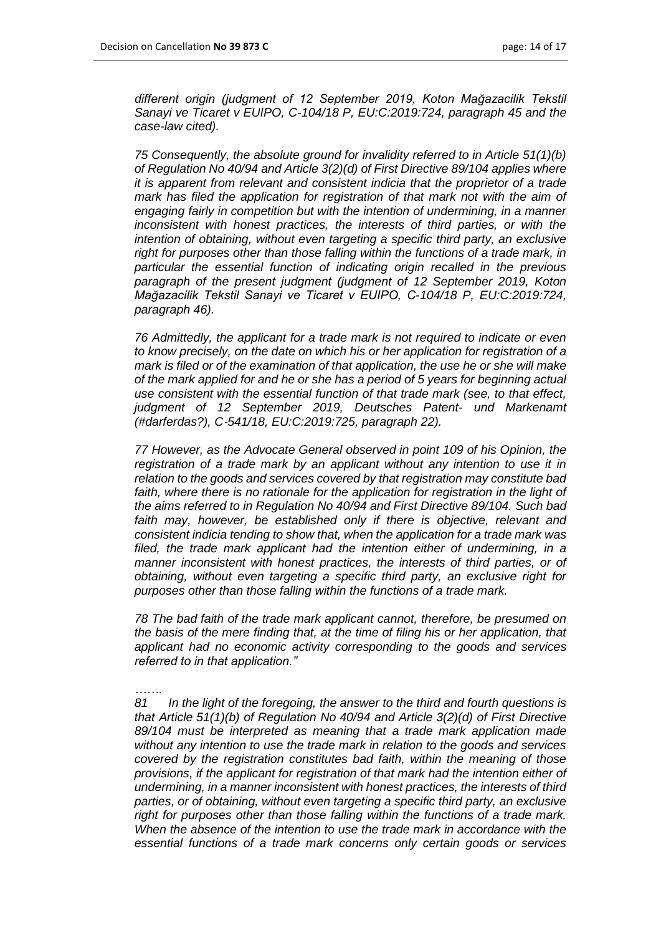*different origin (judgment of 12 September 2019, Koton Mağazacilik Tekstil Sanayi ve Ticaret v EUIPO, C*-*104/18 P, EU:C:2019:724, paragraph 45 and the case-law cited).* 

*75 Consequently, the absolute ground for invalidity referred to in Article 51(1)(b) of Regulation No 40/94 and Article 3(2)(d) of First Directive 89/104 applies where it is apparent from relevant and consistent indicia that the proprietor of a trade mark has filed the application for registration of that mark not with the aim of engaging fairly in competition but with the intention of undermining, in a manner inconsistent with honest practices, the interests of third parties, or with the intention of obtaining, without even targeting a specific third party, an exclusive right for purposes other than those falling within the functions of a trade mark, in particular the essential function of indicating origin recalled in the previous paragraph of the present judgment (judgment of 12 September 2019, Koton Mağazacilik Tekstil Sanayi ve Ticaret v EUIPO, C*-*104/18 P, EU:C:2019:724, paragraph 46).* 

*76 Admittedly, the applicant for a trade mark is not required to indicate or even to know precisely, on the date on which his or her application for registration of a mark is filed or of the examination of that application, the use he or she will make of the mark applied for and he or she has a period of 5 years for beginning actual use consistent with the essential function of that trade mark (see, to that effect, judgment of 12 September 2019, Deutsches Patent- und Markenamt (#darferdas?), C*‑*541/18, EU:C:2019:725, paragraph 22).*

*77 However, as the Advocate General observed in point 109 of his Opinion, the registration of a trade mark by an applicant without any intention to use it in relation to the goods and services covered by that registration may constitute bad*  faith, where there is no rationale for the application for registration in the light of *the aims referred to in Regulation No 40/94 and First Directive 89/104. Such bad*  faith may, however, be established only if there is objective, relevant and *consistent indicia tending to show that, when the application for a trade mark was filed, the trade mark applicant had the intention either of undermining, in a manner inconsistent with honest practices, the interests of third parties, or of obtaining, without even targeting a specific third party, an exclusive right for purposes other than those falling within the functions of a trade mark.* 

*78 The bad faith of the trade mark applicant cannot, therefore, be presumed on the basis of the mere finding that, at the time of filing his or her application, that applicant had no economic activity corresponding to the goods and services referred to in that application."*

*……. 81 In the light of the foregoing, the answer to the third and fourth questions is that Article 51(1)(b) of Regulation No 40/94 and Article 3(2)(d) of First Directive 89/104 must be interpreted as meaning that a trade mark application made without any intention to use the trade mark in relation to the goods and services covered by the registration constitutes bad faith, within the meaning of those provisions, if the applicant for registration of that mark had the intention either of undermining, in a manner inconsistent with honest practices, the interests of third parties, or of obtaining, without even targeting a specific third party, an exclusive right for purposes other than those falling within the functions of a trade mark. When the absence of the intention to use the trade mark in accordance with the essential functions of a trade mark concerns only certain goods or services*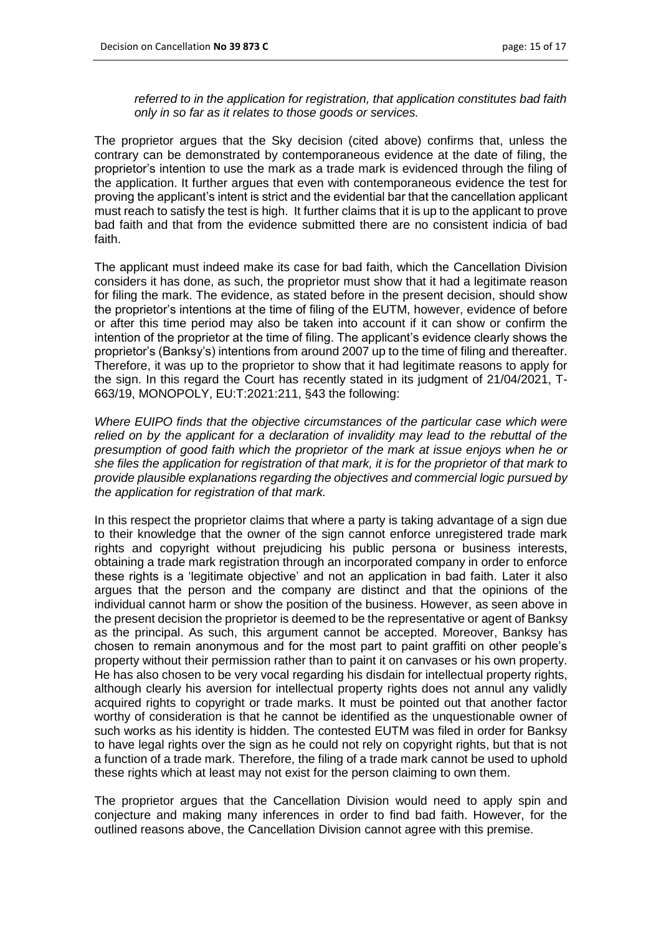*referred to in the application for registration, that application constitutes bad faith only in so far as it relates to those goods or services.*

The proprietor argues that the Sky decision (cited above) confirms that, unless the contrary can be demonstrated by contemporaneous evidence at the date of filing, the proprietor's intention to use the mark as a trade mark is evidenced through the filing of the application. It further argues that even with contemporaneous evidence the test for proving the applicant's intent is strict and the evidential bar that the cancellation applicant must reach to satisfy the test is high. It further claims that it is up to the applicant to prove bad faith and that from the evidence submitted there are no consistent indicia of bad faith.

The applicant must indeed make its case for bad faith, which the Cancellation Division considers it has done, as such, the proprietor must show that it had a legitimate reason for filing the mark. The evidence, as stated before in the present decision, should show the proprietor's intentions at the time of filing of the EUTM, however, evidence of before or after this time period may also be taken into account if it can show or confirm the intention of the proprietor at the time of filing. The applicant's evidence clearly shows the proprietor's (Banksy's) intentions from around 2007 up to the time of filing and thereafter. Therefore, it was up to the proprietor to show that it had legitimate reasons to apply for the sign. In this regard the Court has recently stated in its judgment of 21/04/2021, T-663/19, MONOPOLY, EU:T:2021:211, §43 the following:

*Where EUIPO finds that the objective circumstances of the particular case which were*  relied on by the applicant for a declaration of invalidity may lead to the rebuttal of the *presumption of good faith which the proprietor of the mark at issue enjoys when he or she files the application for registration of that mark, it is for the proprietor of that mark to provide plausible explanations regarding the objectives and commercial logic pursued by the application for registration of that mark.*

In this respect the proprietor claims that where a party is taking advantage of a sign due to their knowledge that the owner of the sign cannot enforce unregistered trade mark rights and copyright without prejudicing his public persona or business interests, obtaining a trade mark registration through an incorporated company in order to enforce these rights is a 'legitimate objective' and not an application in bad faith. Later it also argues that the person and the company are distinct and that the opinions of the individual cannot harm or show the position of the business. However, as seen above in the present decision the proprietor is deemed to be the representative or agent of Banksy as the principal. As such, this argument cannot be accepted. Moreover, Banksy has chosen to remain anonymous and for the most part to paint graffiti on other people's property without their permission rather than to paint it on canvases or his own property. He has also chosen to be very vocal regarding his disdain for intellectual property rights, although clearly his aversion for intellectual property rights does not annul any validly acquired rights to copyright or trade marks. It must be pointed out that another factor worthy of consideration is that he cannot be identified as the unquestionable owner of such works as his identity is hidden. The contested EUTM was filed in order for Banksy to have legal rights over the sign as he could not rely on copyright rights, but that is not a function of a trade mark. Therefore, the filing of a trade mark cannot be used to uphold these rights which at least may not exist for the person claiming to own them.

The proprietor argues that the Cancellation Division would need to apply spin and conjecture and making many inferences in order to find bad faith. However, for the outlined reasons above, the Cancellation Division cannot agree with this premise.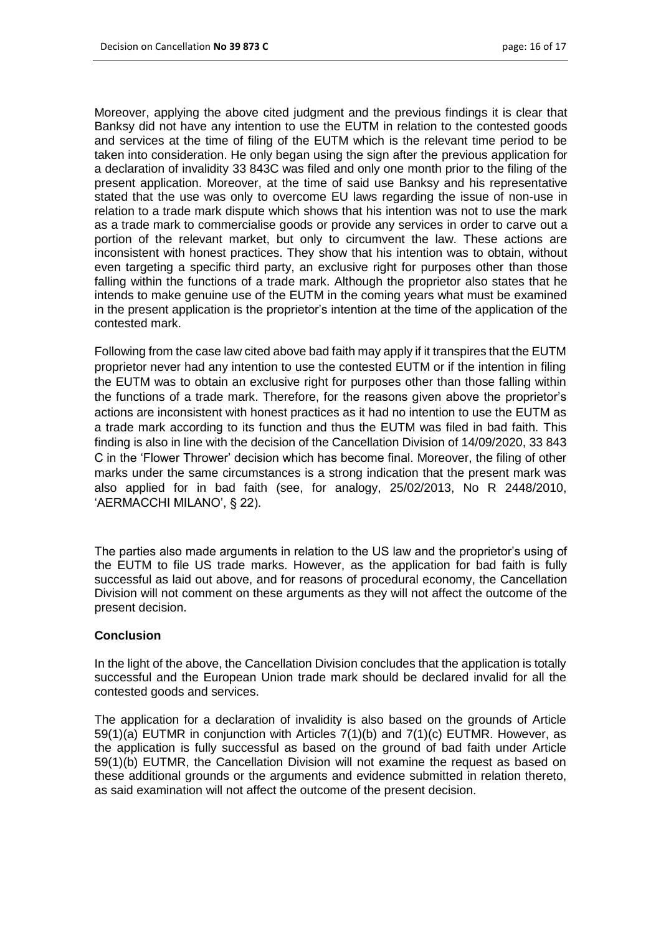Moreover, applying the above cited judgment and the previous findings it is clear that Banksy did not have any intention to use the EUTM in relation to the contested goods and services at the time of filing of the EUTM which is the relevant time period to be taken into consideration. He only began using the sign after the previous application for a declaration of invalidity 33 843C was filed and only one month prior to the filing of the present application. Moreover, at the time of said use Banksy and his representative stated that the use was only to overcome EU laws regarding the issue of non-use in relation to a trade mark dispute which shows that his intention was not to use the mark as a trade mark to commercialise goods or provide any services in order to carve out a portion of the relevant market, but only to circumvent the law. These actions are inconsistent with honest practices. They show that his intention was to obtain, without even targeting a specific third party, an exclusive right for purposes other than those falling within the functions of a trade mark. Although the proprietor also states that he intends to make genuine use of the EUTM in the coming years what must be examined in the present application is the proprietor's intention at the time of the application of the contested mark.

Following from the case law cited above bad faith may apply if it transpires that the EUTM proprietor never had any intention to use the contested EUTM or if the intention in filing the EUTM was to obtain an exclusive right for purposes other than those falling within the functions of a trade mark. Therefore, for the reasons given above the proprietor's actions are inconsistent with honest practices as it had no intention to use the EUTM as a trade mark according to its function and thus the EUTM was filed in bad faith. This finding is also in line with the decision of the Cancellation Division of 14/09/2020, 33 843 C in the 'Flower Thrower' decision which has become final. Moreover, the filing of other marks under the same circumstances is a strong indication that the present mark was also applied for in bad faith (see, for analogy, 25/02/2013, No R 2448/2010, 'AERMACCHI MILANO', § 22).

The parties also made arguments in relation to the US law and the proprietor's using of the EUTM to file US trade marks. However, as the application for bad faith is fully successful as laid out above, and for reasons of procedural economy, the Cancellation Division will not comment on these arguments as they will not affect the outcome of the present decision.

#### **Conclusion**

In the light of the above, the Cancellation Division concludes that the application is totally successful and the European Union trade mark should be declared invalid for all the contested goods and services.

The application for a declaration of invalidity is also based on the grounds of Article 59(1)(a) EUTMR in conjunction with Articles 7(1)(b) and 7(1)(c) EUTMR. However, as the application is fully successful as based on the ground of bad faith under Article 59(1)(b) EUTMR, the Cancellation Division will not examine the request as based on these additional grounds or the arguments and evidence submitted in relation thereto, as said examination will not affect the outcome of the present decision.